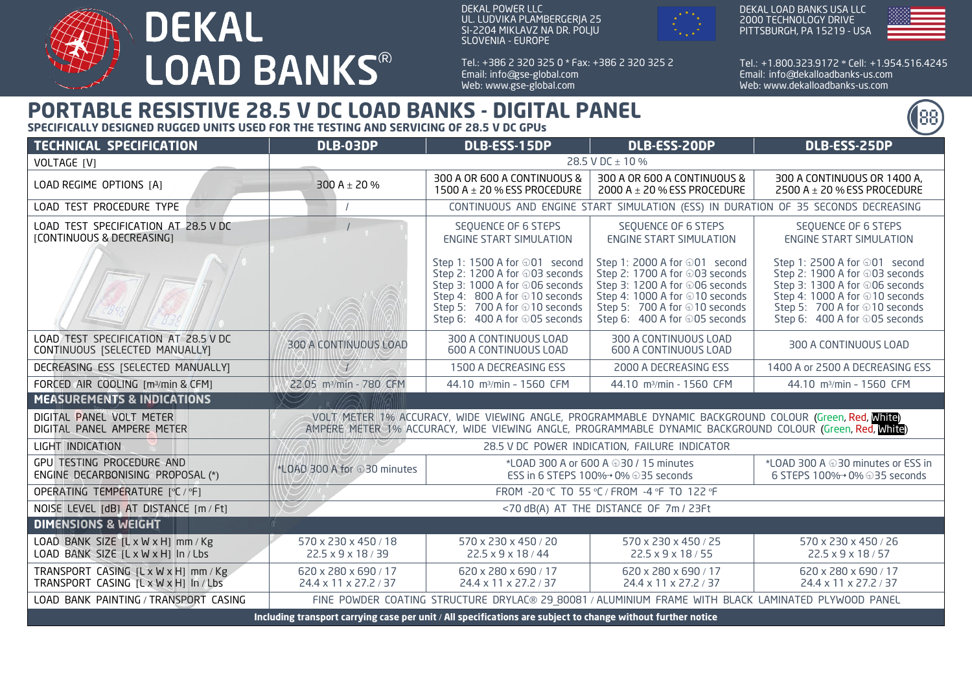

DEKAL POWER LLC UL. LUDVIKA PLAMBERGERJA 25 SI-2204 MIKLAVZ NA DR. POLJU SLOVENIA - EUROPE

Tel.: + 386 2 320 325 0 \* Fax: + 386 2 320 325 2 Email: info@gse-global.com Web: www.gse-global.com



DEKAL LOAD BANKS USA LLC 2000 TECHNOLOGY DRIVE PITTSBURGH, PA 15219 - USA



Tel.: + 1.800.323.9172 \* Cell: + 1.954.516.4245 Email: info@dekalloadbanks-us.com Web: www.dekalloadbanks-us.com

## **PORTABLE RESISTIVE 28.5 V DC LOAD BANKS - DIGITAL PANEL**

**SPECIFICALLY DESIGNED RUGGED UNITS USED FOR THE TESTING AND SERVICING OF 28.5 V DC GPUs**

| <b>TECHNICAL SPECIFICATION</b>                                                                               | DLB-03DP                                                                                                                                                                                                                                    | DLB-ESS-15DP                                                                                                                                                                                         | DLB-ESS-20DP                                                                                                                                                                                          | DLB-ESS-25DP                                                                                                                                                                                          |
|--------------------------------------------------------------------------------------------------------------|---------------------------------------------------------------------------------------------------------------------------------------------------------------------------------------------------------------------------------------------|------------------------------------------------------------------------------------------------------------------------------------------------------------------------------------------------------|-------------------------------------------------------------------------------------------------------------------------------------------------------------------------------------------------------|-------------------------------------------------------------------------------------------------------------------------------------------------------------------------------------------------------|
| VOLTAGE [V]                                                                                                  | 28.5 V DC ± 10 %                                                                                                                                                                                                                            |                                                                                                                                                                                                      |                                                                                                                                                                                                       |                                                                                                                                                                                                       |
| LOAD REGIME OPTIONS [A]                                                                                      | 300 A $\pm$ 20 %                                                                                                                                                                                                                            | 300 A OR 600 A CONTINUOUS &<br>1500 A $\pm$ 20 % ESS PROCEDURE                                                                                                                                       | 300 A OR 600 A CONTINUOUS &<br>2000 A $\pm$ 20 % ESS PROCEDURE                                                                                                                                        | 300 A CONTINUOUS OR 1400 A,<br>2500 A $\pm$ 20 % ESS PROCEDURE                                                                                                                                        |
| LOAD TEST PROCEDURE TYPE                                                                                     | CONTINUOUS AND ENGINE START SIMULATION (ESS) IN DURATION OF 35 SECONDS DECREASING                                                                                                                                                           |                                                                                                                                                                                                      |                                                                                                                                                                                                       |                                                                                                                                                                                                       |
| LOAD TEST SPECIFICATION AT 28.5 V DC<br>[CONTINUOUS & DECREASING]                                            |                                                                                                                                                                                                                                             | SEQUENCE OF 6 STEPS<br><b>ENGINE START SIMULATION</b>                                                                                                                                                | SEQUENCE OF 6 STEPS<br><b>ENGINE START SIMULATION</b>                                                                                                                                                 | SEQUENCE OF 6 STEPS<br><b>ENGINE START SIMULATION</b>                                                                                                                                                 |
|                                                                                                              |                                                                                                                                                                                                                                             | Step 1: 1500 A for ⊕01 second<br>Step 2: 1200 A for ⊕03 seconds<br>Step 3: 1000 A for ⊕06 seconds<br>Step 4: 800 A for ⊕10 seconds<br>Step 5: 700 A for ⊕10 seconds<br>Step 6: 400 A for ⊕05 seconds | Step 1: 2000 A for ⊕01 second<br>Step 2: 1700 A for ⊕03 seconds<br>Step 3: 1200 A for ⊕06 seconds<br>Step 4: 1000 A for ⊕10 seconds<br>Step 5: 700 A for ⊕10 seconds<br>Step 6: 400 A for ⊕05 seconds | Step 1: 2500 A for ⊕01 second<br>Step 2: 1900 A for ⊕03 seconds<br>Step 3: 1300 A for ⊕06 seconds<br>Step 4: 1000 A for ⊕10 seconds<br>Step 5: 700 A for ⊕10 seconds<br>Step 6: 400 A for ⊕05 seconds |
| LOAD TEST SPECIFICATION AT 28.5 V DC<br>CONTINUOUS [SELECTED MANUALLY]                                       | 300 A CONTINUOUS LOAD                                                                                                                                                                                                                       | 300 A CONTINUOUS LOAD<br><b>600 A CONTINUOUS LOAD</b>                                                                                                                                                | 300 A CONTINUOUS LOAD<br><b>600 A CONTINUOUS LOAD</b>                                                                                                                                                 | 300 A CONTINUOUS LOAD                                                                                                                                                                                 |
| DECREASING ESS [SELECTED MANUALLY]                                                                           | $\mathcal{V}$                                                                                                                                                                                                                               | 1500 A DECREASING ESS                                                                                                                                                                                | 2000 A DECREASING ESS                                                                                                                                                                                 | 1400 A or 2500 A DECREASING ESS                                                                                                                                                                       |
| FORCED AIR COOLING [m3/min & CFM]                                                                            | 22.05 m <sup>3</sup> /min - 780 CFM                                                                                                                                                                                                         | 44.10 m <sup>3</sup> /min - 1560 CFM                                                                                                                                                                 | 44.10 m <sup>3</sup> /min - 1560 CFM                                                                                                                                                                  | 44.10 m <sup>3</sup> /min - 1560 CFM                                                                                                                                                                  |
| <b>MEASUREMENTS &amp; INDICATIONS</b>                                                                        |                                                                                                                                                                                                                                             |                                                                                                                                                                                                      |                                                                                                                                                                                                       |                                                                                                                                                                                                       |
| DIGITAL PANEL VOLT METER<br>DIGITAL PANEL AMPERE METER                                                       | __VOLT/METER_1% ACCURACY, WIDE_VIEWING_ANGLE, PROGRAMMABLE_DYNAMIC_BACKGROUND_COLOUR_(Green, <mark>Red, Mhite</mark> )<br>_AMPERE,METER_1% ACCURACY, WIDE_VIEWING_ANGLE, PROGRAMMABLE_DYNAMIC_BACKGROUND_COLOUR_(Green, <b>Red, White</b> ) |                                                                                                                                                                                                      |                                                                                                                                                                                                       |                                                                                                                                                                                                       |
| LIGHT INDICATION                                                                                             | 28.5 V DC POWER INDICATION, FAILURE INDICATOR                                                                                                                                                                                               |                                                                                                                                                                                                      |                                                                                                                                                                                                       |                                                                                                                                                                                                       |
| <b>GPU TESTING PROCEDURE AND</b><br>ENGINE DECARBONISING PROPOSAL (*)                                        | *LOAD 300 A for 030 minutes                                                                                                                                                                                                                 | *LOAD 300 A or 600 A $\oplus$ 30 / 15 minutes<br>ESS in 6 STEPS 100%→ 0% ⊕35 seconds                                                                                                                 |                                                                                                                                                                                                       | *LOAD 300 A @30 minutes or ESS in<br>6 STEPS 100%→ 0% ⊕35 seconds                                                                                                                                     |
| OPERATING TEMPERATURE [°C / °F]                                                                              | FROM -20 °C TO 55 °C / FROM -4 °F TO 122 °F                                                                                                                                                                                                 |                                                                                                                                                                                                      |                                                                                                                                                                                                       |                                                                                                                                                                                                       |
| NOISE LEVEL [dB] AT DISTANCE [m / Ft]                                                                        | <70 dB(A) AT THE DISTANCE OF 7m / 23Ft                                                                                                                                                                                                      |                                                                                                                                                                                                      |                                                                                                                                                                                                       |                                                                                                                                                                                                       |
| <b>DIMENSIONS &amp; WEIGHT</b>                                                                               |                                                                                                                                                                                                                                             |                                                                                                                                                                                                      |                                                                                                                                                                                                       |                                                                                                                                                                                                       |
| LOAD BANK SIZE [L x W x H] mm / Kg<br>LOAD BANK SIZE [L x W x H] In / Lbs                                    | 570 x 230 x 450 / 18<br>22.5 x 9 x 18 / 39                                                                                                                                                                                                  | 570 x 230 x 450 / 20<br>22.5 x 9 x 18 / 44                                                                                                                                                           | 570 x 230 x 450 / 25<br>22.5 x 9 x 18 / 55                                                                                                                                                            | 570 x 230 x 450 / 26<br>22.5 x 9 x 18 / 57                                                                                                                                                            |
| TRANSPORT CASING [L x W x H] mm / Kg<br>TRANSPORT CASING [LxWxH] In/Lbs                                      | 620 x 280 x 690 / 17<br>24.4 x 11 x 27.2 / 37                                                                                                                                                                                               | 620 x 280 x 690 / 17<br>24.4 x 11 x 27.2 / 37                                                                                                                                                        | 620 x 280 x 690 / 17<br>24.4 x 11 x 27.2 / 37                                                                                                                                                         | 620 x 280 x 690 / 17<br>24.4 x 11 x 27.2 / 37                                                                                                                                                         |
| LOAD BANK PAINTING / TRANSPORT CASING                                                                        | FINE POWDER COATING STRUCTURE DRYLAC® 29 80081 / ALUMINIUM FRAME WITH BLACK LAMINATED PLYWOOD PANEL                                                                                                                                         |                                                                                                                                                                                                      |                                                                                                                                                                                                       |                                                                                                                                                                                                       |
| Including transport carrying case per unit / All specifications are subject to change without further notice |                                                                                                                                                                                                                                             |                                                                                                                                                                                                      |                                                                                                                                                                                                       |                                                                                                                                                                                                       |